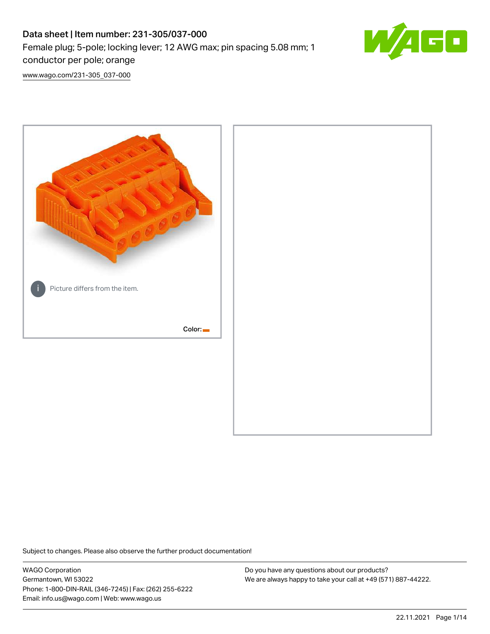# Data sheet | Item number: 231-305/037-000 Female plug; 5-pole; locking lever; 12 AWG max; pin spacing 5.08 mm; 1 conductor per pole; orange



[www.wago.com/231-305\\_037-000](http://www.wago.com/231-305_037-000)



Subject to changes. Please also observe the further product documentation!

WAGO Corporation Germantown, WI 53022 Phone: 1-800-DIN-RAIL (346-7245) | Fax: (262) 255-6222 Email: info.us@wago.com | Web: www.wago.us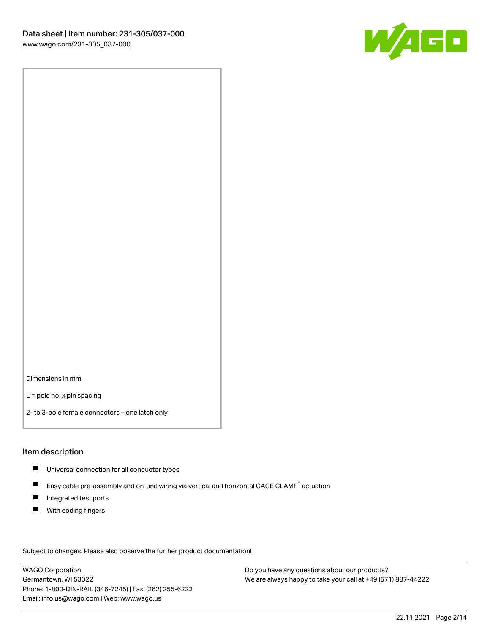

Dimensions in mm

L = pole no. x pin spacing

2- to 3-pole female connectors – one latch only

#### Item description

- **Universal connection for all conductor types**
- Easy cable pre-assembly and on-unit wiring via vertical and horizontal CAGE CLAMP<sup>®</sup> actuation  $\blacksquare$
- $\blacksquare$ Integrated test ports
- $\blacksquare$ With coding fingers

Subject to changes. Please also observe the further product documentation! Data

WAGO Corporation Germantown, WI 53022 Phone: 1-800-DIN-RAIL (346-7245) | Fax: (262) 255-6222 Email: info.us@wago.com | Web: www.wago.us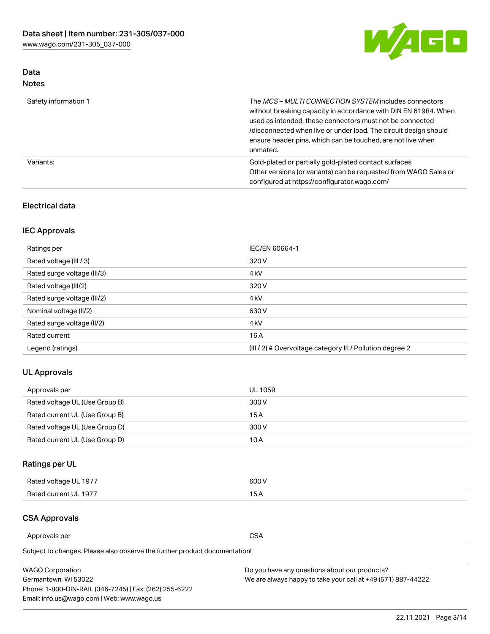

## Data Notes

| Safety information 1 | The MCS-MULTI CONNECTION SYSTEM includes connectors<br>without breaking capacity in accordance with DIN EN 61984. When<br>used as intended, these connectors must not be connected<br>/disconnected when live or under load. The circuit design should<br>ensure header pins, which can be touched, are not live when<br>unmated. |
|----------------------|-----------------------------------------------------------------------------------------------------------------------------------------------------------------------------------------------------------------------------------------------------------------------------------------------------------------------------------|
| Variants:            | Gold-plated or partially gold-plated contact surfaces<br>Other versions (or variants) can be requested from WAGO Sales or<br>configured at https://configurator.wago.com/                                                                                                                                                         |

## Electrical data

## IEC Approvals

| Ratings per                 | IEC/EN 60664-1                                                        |
|-----------------------------|-----------------------------------------------------------------------|
| Rated voltage (III / 3)     | 320 V                                                                 |
| Rated surge voltage (III/3) | 4 <sub>k</sub> V                                                      |
| Rated voltage (III/2)       | 320 V                                                                 |
| Rated surge voltage (III/2) | 4 <sub>k</sub> V                                                      |
| Nominal voltage (II/2)      | 630 V                                                                 |
| Rated surge voltage (II/2)  | 4 <sub>k</sub> V                                                      |
| Rated current               | 16A                                                                   |
| Legend (ratings)            | $(III / 2)$ $\triangle$ Overvoltage category III / Pollution degree 2 |

## UL Approvals

| Approvals per                  | UL 1059 |
|--------------------------------|---------|
| Rated voltage UL (Use Group B) | 300 V   |
| Rated current UL (Use Group B) | 15 A    |
| Rated voltage UL (Use Group D) | 300 V   |
| Rated current UL (Use Group D) | 10 A    |

# Ratings per UL

| Rated voltage UL 1977 | 300 V |
|-----------------------|-------|
| Rated current UL 1977 |       |

## CSA Approvals

Approvals per CSA

Subject to changes. Please also observe the further product documentation!

| <b>WAGO Corporation</b>                                | Do you have any questions about our products?                 |
|--------------------------------------------------------|---------------------------------------------------------------|
| Germantown, WI 53022                                   | We are always happy to take your call at +49 (571) 887-44222. |
| Phone: 1-800-DIN-RAIL (346-7245)   Fax: (262) 255-6222 |                                                               |
| Email: info.us@wago.com   Web: www.wago.us             |                                                               |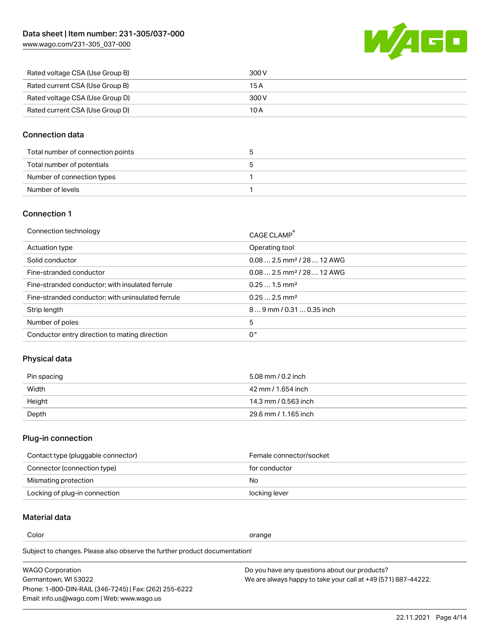[www.wago.com/231-305\\_037-000](http://www.wago.com/231-305_037-000)



| Rated voltage CSA (Use Group B) | 300 V |
|---------------------------------|-------|
| Rated current CSA (Use Group B) | 15 A  |
| Rated voltage CSA (Use Group D) | 300 V |
| Rated current CSA (Use Group D) | 10 A  |

### Connection data

| Total number of connection points |  |
|-----------------------------------|--|
| Total number of potentials        |  |
| Number of connection types        |  |
| Number of levels                  |  |

#### Connection 1

| Connection technology                             | CAGE CLAMP <sup>®</sup>                 |
|---------------------------------------------------|-----------------------------------------|
| Actuation type                                    | Operating tool                          |
| Solid conductor                                   | $0.082.5$ mm <sup>2</sup> / 28  12 AWG  |
| Fine-stranded conductor                           | $0.08$ 2.5 mm <sup>2</sup> / 28  12 AWG |
| Fine-stranded conductor; with insulated ferrule   | $0.251.5$ mm <sup>2</sup>               |
| Fine-stranded conductor; with uninsulated ferrule | $0.252.5$ mm <sup>2</sup>               |
| Strip length                                      | $89$ mm $/$ 0.31  0.35 inch             |
| Number of poles                                   | 5                                       |
| Conductor entry direction to mating direction     | 0°                                      |

# Physical data

| Pin spacing | 5.08 mm / 0.2 inch   |
|-------------|----------------------|
| Width       | 42 mm / 1.654 inch   |
| Height      | 14.3 mm / 0.563 inch |
| Depth       | 29.6 mm / 1.165 inch |

# Plug-in connection

| Contact type (pluggable connector) | Female connector/socket |
|------------------------------------|-------------------------|
| Connector (connection type)        | for conductor           |
| Mismating protection               | No                      |
| Locking of plug-in connection      | locking lever           |

### Material data

Color contracts and contracts of the contracts of the contracts of the contracts of the contracts of the contracts of the contracts of the contracts of the contracts of the contracts of the contracts of the contracts of th

Subject to changes. Please also observe the further product documentation! Material group I

| <b>WAGO Corporation</b>                                | Do you have any questions about our products?                 |
|--------------------------------------------------------|---------------------------------------------------------------|
| Germantown, WI 53022                                   | We are always happy to take your call at +49 (571) 887-44222. |
| Phone: 1-800-DIN-RAIL (346-7245)   Fax: (262) 255-6222 |                                                               |
| Email: info.us@wago.com   Web: www.wago.us             |                                                               |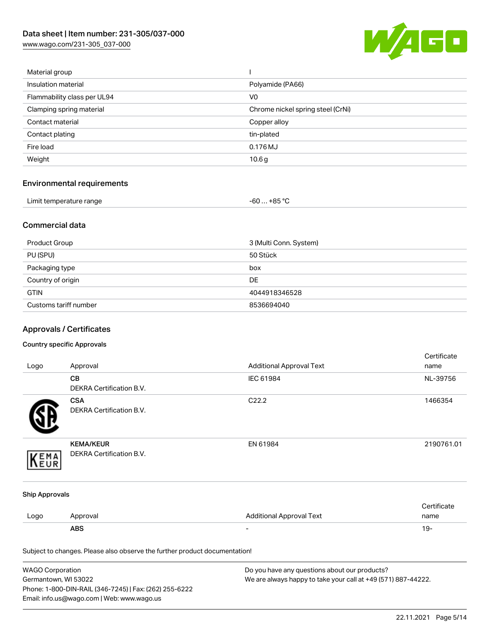[www.wago.com/231-305\\_037-000](http://www.wago.com/231-305_037-000)



| Material group              |                                   |
|-----------------------------|-----------------------------------|
| Insulation material         | Polyamide (PA66)                  |
| Flammability class per UL94 | V <sub>0</sub>                    |
| Clamping spring material    | Chrome nickel spring steel (CrNi) |
| Contact material            | Copper alloy                      |
| Contact plating             | tin-plated                        |
| Fire load                   | 0.176 MJ                          |
| Weight                      | 10.6 <sub>g</sub>                 |
|                             |                                   |

# Environmental requirements

| Limit temperature range | $-60+85 °C$ |
|-------------------------|-------------|
|-------------------------|-------------|

### Commercial data

| Product Group         | 3 (Multi Conn. System) |
|-----------------------|------------------------|
| PU (SPU)              | 50 Stück               |
| Packaging type        | box                    |
| Country of origin     | <b>DE</b>              |
| <b>GTIN</b>           | 4044918346528          |
| Customs tariff number | 8536694040             |

# Approvals / Certificates

#### Country specific Approvals

| Logo                                                                       | Approval                                      | <b>Additional Approval Text</b> | Certificate<br>name |
|----------------------------------------------------------------------------|-----------------------------------------------|---------------------------------|---------------------|
|                                                                            | CB<br>DEKRA Certification B.V.                | IEC 61984                       | NL-39756            |
|                                                                            | <b>CSA</b><br><b>DEKRA Certification B.V.</b> | C22.2                           | 1466354             |
| EMA                                                                        | <b>KEMA/KEUR</b><br>DEKRA Certification B.V.  | EN 61984                        | 2190761.01          |
| <b>Ship Approvals</b>                                                      |                                               |                                 |                     |
| Logo                                                                       | Approval                                      | <b>Additional Approval Text</b> | Certificate<br>name |
|                                                                            | <b>ABS</b>                                    |                                 | $19 -$              |
| Subject to changes. Please also observe the further product documentation! |                                               |                                 |                     |

| <b>WAGO Corporation</b>                                | Do you have any questions about our products?                 |
|--------------------------------------------------------|---------------------------------------------------------------|
| Germantown, WI 53022                                   | We are always happy to take your call at +49 (571) 887-44222. |
| Phone: 1-800-DIN-RAIL (346-7245)   Fax: (262) 255-6222 |                                                               |
| Email: info.us@wago.com   Web: www.wago.us             |                                                               |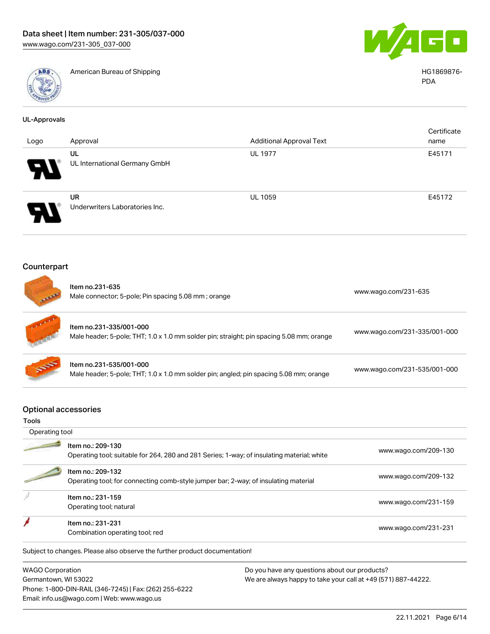

American Bureau of Shipping HG1869876-



PDA

| <b>UL-Approvals</b>                         |                                                                                                                     |                                 |                              |
|---------------------------------------------|---------------------------------------------------------------------------------------------------------------------|---------------------------------|------------------------------|
| Logo                                        | Approval                                                                                                            | <b>Additional Approval Text</b> | Certificate<br>name          |
|                                             | UL                                                                                                                  | <b>UL 1977</b>                  | E45171                       |
|                                             | UL International Germany GmbH                                                                                       |                                 |                              |
|                                             | <b>UR</b>                                                                                                           | <b>UL 1059</b>                  | E45172                       |
|                                             | Underwriters Laboratories Inc.                                                                                      |                                 |                              |
| Counterpart                                 |                                                                                                                     |                                 |                              |
|                                             | Item no.231-635<br>Male connector; 5-pole; Pin spacing 5.08 mm; orange                                              |                                 | www.wago.com/231-635         |
|                                             | Item no.231-335/001-000<br>Male header; 5-pole; THT; 1.0 x 1.0 mm solder pin; straight; pin spacing 5.08 mm; orange |                                 | www.wago.com/231-335/001-000 |
|                                             | Item no.231-535/001-000<br>Male header; 5-pole; THT; 1.0 x 1.0 mm solder pin; angled; pin spacing 5.08 mm; orange   |                                 | www.wago.com/231-535/001-000 |
| <b>Optional accessories</b><br><b>Tools</b> |                                                                                                                     |                                 |                              |
| Operating tool                              |                                                                                                                     |                                 |                              |
|                                             | Item no.: 209-130<br>Operating tool; suitable for 264, 280 and 281 Series; 1-way; of insulating material; white     |                                 | www.wago.com/209-130         |
|                                             | Item no.: 209-132<br>Operating tool; for connecting comb-style jumper bar; 2-way; of insulating material            |                                 | www.wago.com/209-132         |
|                                             | Item no.: 231-159<br>Operating tool; natural                                                                        |                                 | www.wago.com/231-159         |

nem no.. 231-231<br>Combination operating tool; red [www.wago.com/231-231](http://www.wago.com/231-231)

Subject to changes. Please also observe the further product documentation!

WAGO Corporation Germantown, WI 53022 Phone: 1-800-DIN-RAIL (346-7245) | Fax: (262) 255-6222 Email: info.us@wago.com | Web: www.wago.us

Item no.: 231-231

ł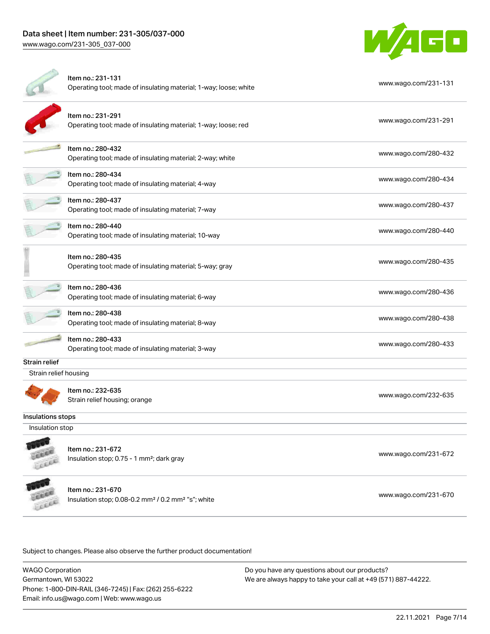[www.wago.com/231-305\\_037-000](http://www.wago.com/231-305_037-000)



|                       | Item no.: 231-131<br>Operating tool; made of insulating material; 1-way; loose; white           | www.wago.com/231-131 |  |  |  |
|-----------------------|-------------------------------------------------------------------------------------------------|----------------------|--|--|--|
|                       | Item no.: 231-291<br>Operating tool; made of insulating material; 1-way; loose; red             | www.wago.com/231-291 |  |  |  |
|                       | Item no.: 280-432<br>Operating tool; made of insulating material; 2-way; white                  | www.wago.com/280-432 |  |  |  |
|                       | Item no.: 280-434<br>Operating tool; made of insulating material; 4-way                         | www.wago.com/280-434 |  |  |  |
|                       | Item no.: 280-437<br>Operating tool; made of insulating material; 7-way                         | www.wago.com/280-437 |  |  |  |
|                       | Item no.: 280-440<br>Operating tool; made of insulating material; 10-way                        | www.wago.com/280-440 |  |  |  |
|                       | Item no.: 280-435<br>Operating tool; made of insulating material; 5-way; gray                   | www.wago.com/280-435 |  |  |  |
|                       | Item no.: 280-436<br>Operating tool; made of insulating material; 6-way                         | www.wago.com/280-436 |  |  |  |
|                       | Item no.: 280-438<br>Operating tool; made of insulating material; 8-way                         | www.wago.com/280-438 |  |  |  |
|                       | Item no.: 280-433<br>Operating tool; made of insulating material; 3-way                         | www.wago.com/280-433 |  |  |  |
| Strain relief         |                                                                                                 |                      |  |  |  |
| Strain relief housing |                                                                                                 |                      |  |  |  |
|                       | Item no.: 232-635<br>Strain relief housing; orange                                              | www.wago.com/232-635 |  |  |  |
| Insulations stops     |                                                                                                 |                      |  |  |  |
| Insulation stop       |                                                                                                 |                      |  |  |  |
|                       | Item no.: 231-672<br>Insulation stop; 0.75 - 1 mm <sup>2</sup> ; dark gray                      | www.wago.com/231-672 |  |  |  |
|                       | Item no.: 231-670<br>Insulation stop; 0.08-0.2 mm <sup>2</sup> / 0.2 mm <sup>2</sup> "s"; white | www.wago.com/231-670 |  |  |  |
|                       |                                                                                                 |                      |  |  |  |

Subject to changes. Please also observe the further product documentation!

WAGO Corporation Germantown, WI 53022 Phone: 1-800-DIN-RAIL (346-7245) | Fax: (262) 255-6222 Email: info.us@wago.com | Web: www.wago.us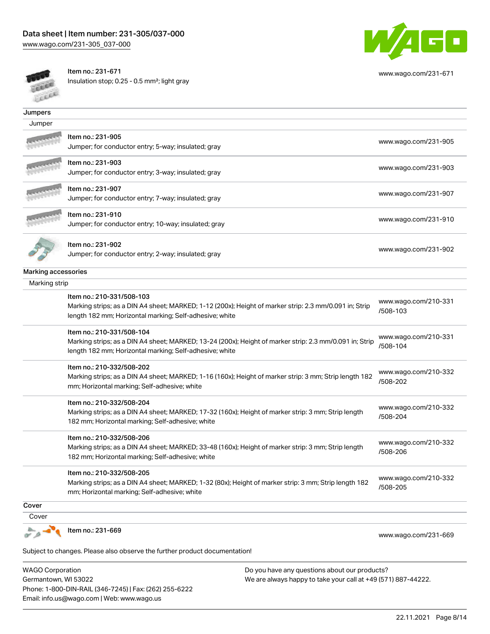

[www.wago.com/231-671](http://www.wago.com/231-671)

FELLER

Item no.: 231-671

Insulation stop; 0.25 - 0.5 mm²; light gray

| <b>SOME</b>                          |                                                                                                                                                                    |                                  |  |  |
|--------------------------------------|--------------------------------------------------------------------------------------------------------------------------------------------------------------------|----------------------------------|--|--|
| Jumpers                              |                                                                                                                                                                    |                                  |  |  |
| Jumper                               |                                                                                                                                                                    |                                  |  |  |
|                                      | Item no.: 231-905                                                                                                                                                  | www.wago.com/231-905             |  |  |
|                                      | Jumper; for conductor entry; 5-way; insulated; gray                                                                                                                |                                  |  |  |
|                                      | Item no.: 231-903                                                                                                                                                  | www.wago.com/231-903             |  |  |
|                                      | Jumper; for conductor entry; 3-way; insulated; gray                                                                                                                |                                  |  |  |
|                                      | Item no.: 231-907                                                                                                                                                  | www.wago.com/231-907             |  |  |
|                                      | Jumper; for conductor entry; 7-way; insulated; gray                                                                                                                |                                  |  |  |
|                                      | Item no.: 231-910                                                                                                                                                  | www.wago.com/231-910             |  |  |
|                                      | Jumper; for conductor entry; 10-way; insulated; gray                                                                                                               |                                  |  |  |
|                                      | Item no.: 231-902                                                                                                                                                  |                                  |  |  |
|                                      | Jumper; for conductor entry; 2-way; insulated; gray                                                                                                                | www.wago.com/231-902             |  |  |
|                                      |                                                                                                                                                                    |                                  |  |  |
| Marking accessories<br>Marking strip |                                                                                                                                                                    |                                  |  |  |
|                                      |                                                                                                                                                                    |                                  |  |  |
|                                      | Item no.: 210-331/508-103                                                                                                                                          | www.wago.com/210-331             |  |  |
|                                      | Marking strips; as a DIN A4 sheet; MARKED; 1-12 (200x); Height of marker strip: 2.3 mm/0.091 in; Strip<br>length 182 mm; Horizontal marking; Self-adhesive; white  | /508-103                         |  |  |
|                                      | Item no.: 210-331/508-104                                                                                                                                          | www.wago.com/210-331             |  |  |
|                                      | Marking strips; as a DIN A4 sheet; MARKED; 13-24 (200x); Height of marker strip: 2.3 mm/0.091 in; Strip<br>length 182 mm; Horizontal marking; Self-adhesive; white | /508-104                         |  |  |
|                                      | Item no.: 210-332/508-202                                                                                                                                          |                                  |  |  |
|                                      | Marking strips; as a DIN A4 sheet; MARKED; 1-16 (160x); Height of marker strip: 3 mm; Strip length 182                                                             | www.wago.com/210-332<br>/508-202 |  |  |
|                                      | mm; Horizontal marking; Self-adhesive; white                                                                                                                       |                                  |  |  |
|                                      | Item no.: 210-332/508-204                                                                                                                                          | www.wago.com/210-332             |  |  |
|                                      | Marking strips; as a DIN A4 sheet; MARKED; 17-32 (160x); Height of marker strip: 3 mm; Strip length<br>182 mm; Horizontal marking; Self-adhesive; white            | /508-204                         |  |  |
|                                      | Item no.: 210-332/508-206                                                                                                                                          |                                  |  |  |
|                                      | Marking strips; as a DIN A4 sheet; MARKED; 33-48 (160x); Height of marker strip: 3 mm; Strip length                                                                | www.wago.com/210-332<br>/508-206 |  |  |
|                                      | 182 mm; Horizontal marking; Self-adhesive; white                                                                                                                   |                                  |  |  |
|                                      | Item no.: 210-332/508-205                                                                                                                                          | www.wago.com/210-332             |  |  |
|                                      | Marking strips; as a DIN A4 sheet; MARKED; 1-32 (80x); Height of marker strip: 3 mm; Strip length 182                                                              | /508-205                         |  |  |
|                                      | mm; Horizontal marking; Self-adhesive; white                                                                                                                       |                                  |  |  |
| Cover                                |                                                                                                                                                                    |                                  |  |  |
| Cover                                |                                                                                                                                                                    |                                  |  |  |
|                                      | Item no.: 231-669                                                                                                                                                  | www.wago.com/231-669             |  |  |
|                                      |                                                                                                                                                                    |                                  |  |  |
|                                      | Subject to changes. Please also observe the further product documentation!                                                                                         |                                  |  |  |

WAGO Corporation Germantown, WI 53022 Phone: 1-800-DIN-RAIL (346-7245) | Fax: (262) 255-6222 Email: info.us@wago.com | Web: www.wago.us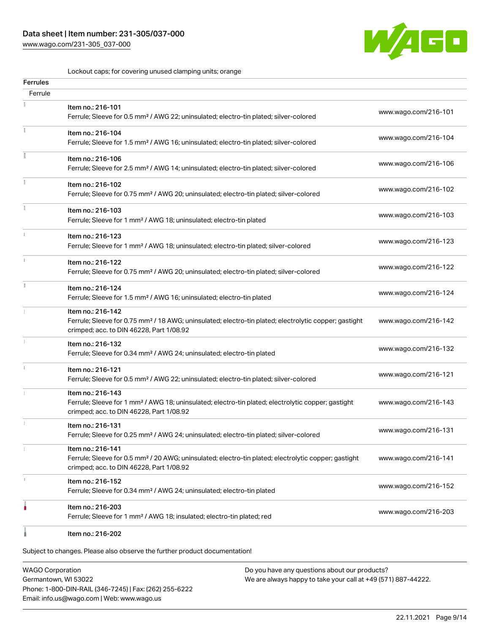# Data sheet | Item number: 231-305/037-000

[www.wago.com/231-305\\_037-000](http://www.wago.com/231-305_037-000)



Lockout caps; for covering unused clamping units; orange

| Ferrules |                                                                                                                                                                                    |                      |
|----------|------------------------------------------------------------------------------------------------------------------------------------------------------------------------------------|----------------------|
| Ferrule  |                                                                                                                                                                                    |                      |
|          | Item no.: 216-101<br>Ferrule; Sleeve for 0.5 mm <sup>2</sup> / AWG 22; uninsulated; electro-tin plated; silver-colored                                                             | www.wago.com/216-101 |
|          | Item no.: 216-104<br>Ferrule; Sleeve for 1.5 mm <sup>2</sup> / AWG 16; uninsulated; electro-tin plated; silver-colored                                                             | www.wago.com/216-104 |
|          | Item no.: 216-106<br>Ferrule; Sleeve for 2.5 mm <sup>2</sup> / AWG 14; uninsulated; electro-tin plated; silver-colored                                                             | www.wago.com/216-106 |
|          | Item no.: 216-102<br>Ferrule; Sleeve for 0.75 mm <sup>2</sup> / AWG 20; uninsulated; electro-tin plated; silver-colored                                                            | www.wago.com/216-102 |
|          | Item no.: 216-103<br>Ferrule; Sleeve for 1 mm <sup>2</sup> / AWG 18; uninsulated; electro-tin plated                                                                               | www.wago.com/216-103 |
|          | Item no.: 216-123<br>Ferrule; Sleeve for 1 mm <sup>2</sup> / AWG 18; uninsulated; electro-tin plated; silver-colored                                                               | www.wago.com/216-123 |
|          | Item no.: 216-122<br>Ferrule; Sleeve for 0.75 mm <sup>2</sup> / AWG 20; uninsulated; electro-tin plated; silver-colored                                                            | www.wago.com/216-122 |
|          | Item no.: 216-124<br>Ferrule; Sleeve for 1.5 mm <sup>2</sup> / AWG 16; uninsulated; electro-tin plated                                                                             | www.wago.com/216-124 |
|          | Item no.: 216-142<br>Ferrule; Sleeve for 0.75 mm <sup>2</sup> / 18 AWG; uninsulated; electro-tin plated; electrolytic copper; gastight<br>crimped; acc. to DIN 46228, Part 1/08.92 | www.wago.com/216-142 |
|          | Item no.: 216-132<br>Ferrule; Sleeve for 0.34 mm <sup>2</sup> / AWG 24; uninsulated; electro-tin plated                                                                            | www.wago.com/216-132 |
|          | Item no.: 216-121<br>Ferrule; Sleeve for 0.5 mm <sup>2</sup> / AWG 22; uninsulated; electro-tin plated; silver-colored                                                             | www.wago.com/216-121 |
|          | Item no.: 216-143<br>Ferrule; Sleeve for 1 mm <sup>2</sup> / AWG 18; uninsulated; electro-tin plated; electrolytic copper; gastight<br>crimped; acc. to DIN 46228, Part 1/08.92    | www.wago.com/216-143 |
|          | Item no.: 216-131<br>Ferrule; Sleeve for 0.25 mm <sup>2</sup> / AWG 24; uninsulated; electro-tin plated; silver-colored                                                            | www.wago.com/216-131 |
|          | Item no.: 216-141<br>Ferrule; Sleeve for 0.5 mm <sup>2</sup> / 20 AWG; uninsulated; electro-tin plated; electrolytic copper; gastight<br>crimped; acc. to DIN 46228, Part 1/08.92  | www.wago.com/216-141 |
|          | Item no.: 216-152<br>Ferrule; Sleeve for 0.34 mm <sup>2</sup> / AWG 24; uninsulated; electro-tin plated                                                                            | www.wago.com/216-152 |
|          | Item no.: 216-203<br>Ferrule; Sleeve for 1 mm <sup>2</sup> / AWG 18; insulated; electro-tin plated; red                                                                            | www.wago.com/216-203 |
|          | Item no.: 216-202                                                                                                                                                                  |                      |

Subject to changes. Please also observe the further product documentation!

WAGO Corporation Germantown, WI 53022 Phone: 1-800-DIN-RAIL (346-7245) | Fax: (262) 255-6222 Email: info.us@wago.com | Web: www.wago.us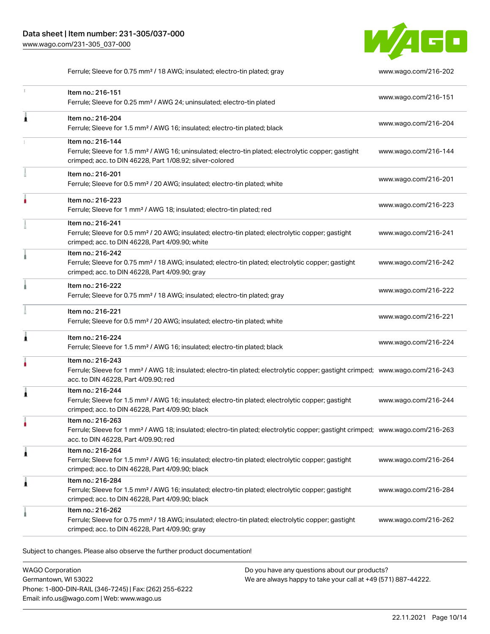

Ferrule; Sleeve for 0.75 mm² / 18 AWG; insulated; electro-tin plated; gray [www.wago.com/216-202](http://www.wago.com/216-202)

| ı | Item no.: 216-151<br>Ferrule; Sleeve for 0.25 mm <sup>2</sup> / AWG 24; uninsulated; electro-tin plated                                                                                                 | www.wago.com/216-151 |
|---|---------------------------------------------------------------------------------------------------------------------------------------------------------------------------------------------------------|----------------------|
| Â | Item no.: 216-204<br>Ferrule; Sleeve for 1.5 mm <sup>2</sup> / AWG 16; insulated; electro-tin plated; black                                                                                             | www.wago.com/216-204 |
|   | Item no.: 216-144<br>Ferrule; Sleeve for 1.5 mm <sup>2</sup> / AWG 16; uninsulated; electro-tin plated; electrolytic copper; gastight<br>crimped; acc. to DIN 46228, Part 1/08.92; silver-colored       | www.wago.com/216-144 |
|   | Item no.: 216-201<br>Ferrule; Sleeve for 0.5 mm <sup>2</sup> / 20 AWG; insulated; electro-tin plated; white                                                                                             | www.wago.com/216-201 |
|   | Item no.: 216-223<br>Ferrule; Sleeve for 1 mm <sup>2</sup> / AWG 18; insulated; electro-tin plated; red                                                                                                 | www.wago.com/216-223 |
|   | Item no.: 216-241<br>Ferrule; Sleeve for 0.5 mm <sup>2</sup> / 20 AWG; insulated; electro-tin plated; electrolytic copper; gastight<br>crimped; acc. to DIN 46228, Part 4/09.90; white                  | www.wago.com/216-241 |
|   | Item no.: 216-242<br>Ferrule; Sleeve for 0.75 mm <sup>2</sup> / 18 AWG; insulated; electro-tin plated; electrolytic copper; gastight<br>crimped; acc. to DIN 46228, Part 4/09.90; gray                  | www.wago.com/216-242 |
|   | Item no.: 216-222<br>Ferrule; Sleeve for 0.75 mm <sup>2</sup> / 18 AWG; insulated; electro-tin plated; gray                                                                                             | www.wago.com/216-222 |
|   | Item no.: 216-221<br>Ferrule; Sleeve for 0.5 mm <sup>2</sup> / 20 AWG; insulated; electro-tin plated; white                                                                                             | www.wago.com/216-221 |
| Â | Item no.: 216-224<br>Ferrule; Sleeve for 1.5 mm <sup>2</sup> / AWG 16; insulated; electro-tin plated; black                                                                                             | www.wago.com/216-224 |
|   | Item no.: 216-243<br>Ferrule; Sleeve for 1 mm <sup>2</sup> / AWG 18; insulated; electro-tin plated; electrolytic copper; gastight crimped; www.wago.com/216-243<br>acc. to DIN 46228, Part 4/09.90; red |                      |
| 1 | Item no.: 216-244<br>Ferrule; Sleeve for 1.5 mm <sup>2</sup> / AWG 16; insulated; electro-tin plated; electrolytic copper; gastight<br>crimped; acc. to DIN 46228, Part 4/09.90; black                  | www.wago.com/216-244 |
|   | Item no.: 216-263<br>Ferrule; Sleeve for 1 mm <sup>2</sup> / AWG 18; insulated; electro-tin plated; electrolytic copper; gastight crimped; www.wago.com/216-263<br>acc. to DIN 46228, Part 4/09.90; red |                      |
| Â | Item no.: 216-264<br>Ferrule; Sleeve for 1.5 mm <sup>2</sup> / AWG 16; insulated; electro-tin plated; electrolytic copper; gastight<br>crimped; acc. to DIN 46228, Part 4/09.90; black                  | www.wago.com/216-264 |
| 1 | Item no.: 216-284<br>Ferrule; Sleeve for 1.5 mm <sup>2</sup> / AWG 16; insulated; electro-tin plated; electrolytic copper; gastight<br>crimped; acc. to DIN 46228, Part 4/09.90; black                  | www.wago.com/216-284 |
|   | Item no.: 216-262<br>Ferrule; Sleeve for 0.75 mm <sup>2</sup> / 18 AWG; insulated; electro-tin plated; electrolytic copper; gastight<br>crimped; acc. to DIN 46228, Part 4/09.90; gray                  | www.wago.com/216-262 |

Subject to changes. Please also observe the further product documentation!

WAGO Corporation Germantown, WI 53022 Phone: 1-800-DIN-RAIL (346-7245) | Fax: (262) 255-6222 Email: info.us@wago.com | Web: www.wago.us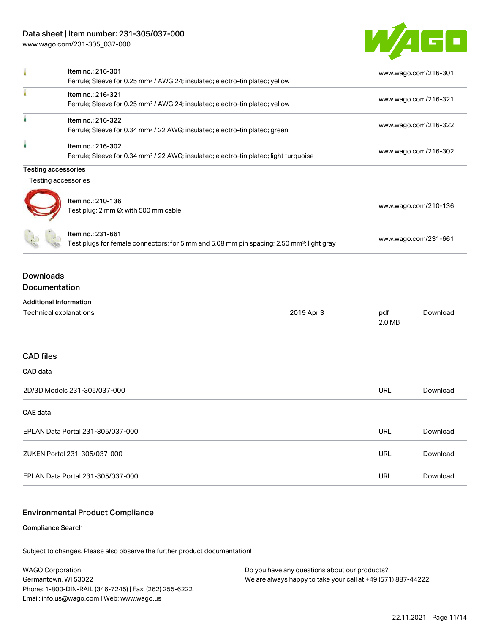## Data sheet | Item number: 231-305/037-000

[www.wago.com/231-305\\_037-000](http://www.wago.com/231-305_037-000)



| I                                                       | Item no.: 216-301<br>Ferrule; Sleeve for 0.25 mm <sup>2</sup> / AWG 24; insulated; electro-tin plated; yellow              |            |               | www.wago.com/216-301 |
|---------------------------------------------------------|----------------------------------------------------------------------------------------------------------------------------|------------|---------------|----------------------|
|                                                         | Item no.: 216-321<br>Ferrule; Sleeve for 0.25 mm <sup>2</sup> / AWG 24; insulated; electro-tin plated; yellow              |            |               | www.wago.com/216-321 |
| à.                                                      | Item no.: 216-322<br>Ferrule; Sleeve for 0.34 mm <sup>2</sup> / 22 AWG; insulated; electro-tin plated; green               |            |               | www.wago.com/216-322 |
| ۸                                                       | Item no.: 216-302<br>Ferrule; Sleeve for 0.34 mm <sup>2</sup> / 22 AWG; insulated; electro-tin plated; light turquoise     |            |               | www.wago.com/216-302 |
| <b>Testing accessories</b>                              |                                                                                                                            |            |               |                      |
| Testing accessories                                     |                                                                                                                            |            |               |                      |
|                                                         | Item no.: 210-136<br>Test plug; 2 mm Ø; with 500 mm cable                                                                  |            |               | www.wago.com/210-136 |
|                                                         | Item no.: 231-661<br>Test plugs for female connectors; for 5 mm and 5.08 mm pin spacing; 2,50 mm <sup>2</sup> ; light gray |            |               | www.wago.com/231-661 |
| <b>Downloads</b><br>Documentation                       |                                                                                                                            |            |               |                      |
| <b>Additional Information</b><br>Technical explanations |                                                                                                                            | 2019 Apr 3 | pdf<br>2.0 MB | Download             |
| <b>CAD</b> files                                        |                                                                                                                            |            |               |                      |
| CAD data                                                |                                                                                                                            |            |               |                      |
|                                                         | 2D/3D Models 231-305/037-000                                                                                               |            | <b>URL</b>    | Download             |
| <b>CAE</b> data                                         |                                                                                                                            |            |               |                      |
| EPLAN Data Portal 231-305/037-000                       |                                                                                                                            | <b>URL</b> | Download      |                      |
|                                                         | ZUKEN Portal 231-305/037-000                                                                                               |            | <b>URL</b>    | Download             |
|                                                         | EPLAN Data Portal 231-305/037-000                                                                                          |            |               | Download             |

#### Environmental Product Compliance

#### Compliance Search

Subject to changes. Please also observe the further product documentation!

WAGO Corporation Germantown, WI 53022 Phone: 1-800-DIN-RAIL (346-7245) | Fax: (262) 255-6222 Email: info.us@wago.com | Web: www.wago.us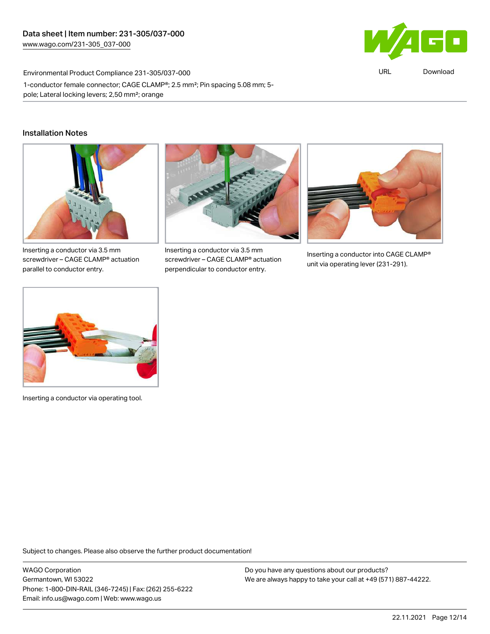

URL [Download](https://www.wago.com/global/d/ComplianceLinkMediaContainer_231-305_037-000)

Environmental Product Compliance 231-305/037-000 1-conductor female connector; CAGE CLAMP®; 2.5 mm²; Pin spacing 5.08 mm; 5 pole; Lateral locking levers; 2,50 mm²; orange

#### Installation Notes



Inserting a conductor via 3.5 mm screwdriver – CAGE CLAMP® actuation parallel to conductor entry.



Inserting a conductor via 3.5 mm screwdriver – CAGE CLAMP® actuation perpendicular to conductor entry.



Inserting a conductor into CAGE CLAMP® unit via operating lever (231-291).



Inserting a conductor via operating tool.

Subject to changes. Please also observe the further product documentation!

WAGO Corporation Germantown, WI 53022 Phone: 1-800-DIN-RAIL (346-7245) | Fax: (262) 255-6222 Email: info.us@wago.com | Web: www.wago.us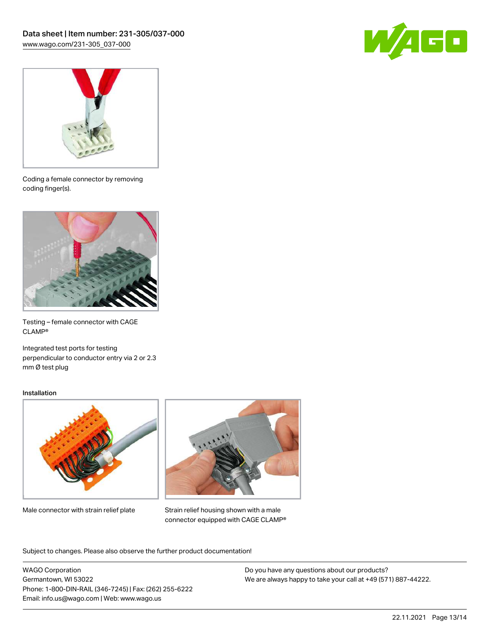



Coding a female connector by removing coding finger(s).



Testing – female connector with CAGE CLAMP®

Integrated test ports for testing perpendicular to conductor entry via 2 or 2.3 mm Ø test plug

#### Installation



Male connector with strain relief plate



Strain relief housing shown with a male connector equipped with CAGE CLAMP®

Subject to changes. Please also observe the further product documentation!

WAGO Corporation Germantown, WI 53022 Phone: 1-800-DIN-RAIL (346-7245) | Fax: (262) 255-6222 Email: info.us@wago.com | Web: www.wago.us